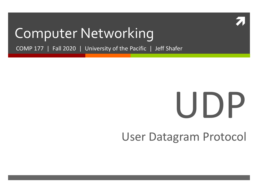

### Computer Networking

COMP 177 | Fall 2020 | University of the Pacific | Jeff Shafer

# UDP

### User Datagram Protocol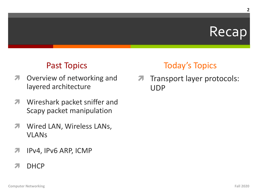### Recap

#### **Past Topics**

- Overview of networking and  $\overline{\phantom{a}}$ layered architecture
- Wireshark packet sniffer and 7 Scapy packet manipulation
- Wired LAN, Wireless LANs, 7 **VLANS**
- IPv4, IPv6 ARP, ICMP 7
- **DHCP** 2

### **Today's Topics**

Transport layer protocols:  $\overline{\phantom{a}}$ **UDP**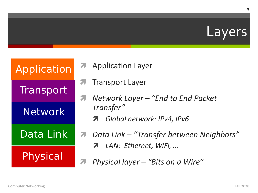

| Application     |   |
|-----------------|---|
| Transport       | í |
| Network         |   |
| Data Link       |   |
| <b>Physical</b> |   |
|                 |   |

- **Application Layer** 7
- **Transport Layer** 7
- Network Layer "End to End Packet 7 Transfer"
	- **A** Global network: IPv4, IPv6
- Data Link "Transfer between Neighbors" 7 7 LAN: Ethernet, WiFi, ...
- Physical layer "Bits on a Wire" 7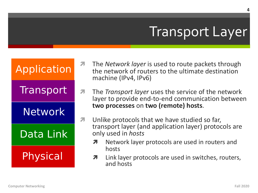# Transport Layer

| Application |
|-------------|
| Transport   |
| Network     |
| Data Link   |
| Physical    |

- *A* The *Network layer* is used to route packets through the network of routers to the ultimate destination machine (IPv4, IPv6)
- *A* The *Transport layer* uses the service of the network layer to provide end-to-end communication between **two processes** on **two (remote) hosts**.
- $\lambda$  Unlike protocols that we have studied so far, transport layer (and application layer) protocols are only used in *hosts*
	- **7** Network layer protocols are used in routers and hosts
	- $\lambda$  Link layer protocols are used in switches, routers, and hosts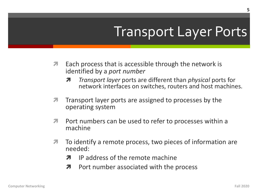# **Transport Layer Ports**

- Each process that is accessible through the network is 7 identified by a port number
	- *Transport layer ports are different than physical ports for* Я network interfaces on switches, routers and host machines.
- Transport layer ports are assigned to processes by the 7 operating system
- Port numbers can be used to refer to processes within a 7 machine
- 7 To identify a remote process, two pieces of information are needed:
	- IP address of the remote machine Л.
	- Port number associated with the process 7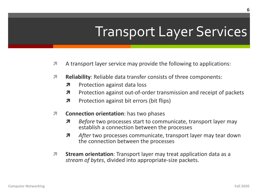# **Transport Layer Services**

- A transport layer service may provide the following to applications: 7
- **Reliability:** Reliable data transfer consists of three components: 7
	- Л Protection against data loss
	- 7 Protection against out-of-order transmission and receipt of packets
	- $\overline{\mathbf{z}}$ Protection against bit errors (bit flips)
- **Connection orientation:** has two phases  $\overline{\mathbf{z}}$ 
	- Before two processes start to communicate, transport layer may Я establish a connection between the processes
	- 7 After two processes communicate, transport layer may tear down the connection between the processes
- 7 **Stream orientation:** Transport layer may treat application data as a stream of bytes, divided into appropriate-size packets.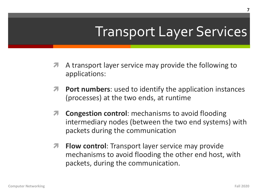# Transport Layer Services

- A transport layer service may provide the following to applications:
- *A* Port numbers: used to identify the application instances (processes) at the two ends, at runtime
- $\lambda$  **Congestion control**: mechanisms to avoid flooding intermediary nodes (between the two end systems) with packets during the communication
- *A* Flow control: Transport layer service may provide mechanisms to avoid flooding the other end host, with packets, during the communication.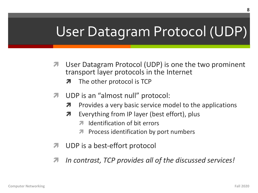# User Datagram Protocol (UDP)

- User Datagram Protocol (UDP) is one the two prominent transport layer protocols in the Internet
	- The other protocol is TCP
- 7 UDP is an "almost null" protocol:
	- Provides a very basic service model to the applications 7
	- Everything from IP layer (best effort), plus Л.
		- Identification of bit errors 21
		- **T** Process identification by port numbers
- UDP is a best-effort protocol
- In contrast, TCP provides all of the discussed services! 71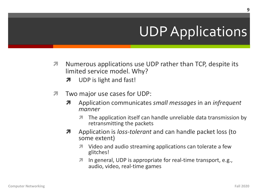# **UDP Applications**

- 7 Numerous applications use UDP rather than TCP, despite its limited service model. Why?
	- UDP is light and fast! 7
- Two major use cases for UDP: 7
	- Application communicates small messages in an infrequent 7 manner
		- The application itself can handle unreliable data transmission by 71 retransmitting the packets
	- Application is *loss-tolerant* and can handle packet loss (to 7 some extent)
		- **1** Video and audio streaming applications can tolerate a few glitches!
		- In general, UDP is appropriate for real-time transport, e.g., 7 audio, video, real-time games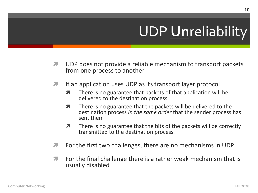# **UDP Unreliability**

- $\overline{\mathbf{z}}$ UDP does not provide a reliable mechanism to transport packets from one process to another
- If an application uses UDP as its transport layer protocol 7
	- 7 There is no guarantee that packets of that application will be delivered to the destination process
	- There is no guarantee that the packets will be delivered to the 7 destination process in the same order that the sender process has sent them
	- $\overline{\boldsymbol{\pi}}$ There is no guarantee that the bits of the packets will be correctly transmitted to the destination process.
- For the first two challenges, there are no mechanisms in UDP 7
- For the final challenge there is a rather weak mechanism that is 7 usually disabled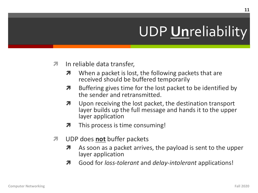# **UDP Unreliability**

- In reliable data transfer,  $\overline{\mathbf{z}}$ 
	- When a packet is lost, the following packets that are 7 received should be buffered temporarily
	- Buffering gives time for the lost packet to be identified by 7 the sender and retransmitted.
	- Upon receiving the lost packet, the destination transport 7 layer builds up the full message and hands it to the upper layer application
	- This process is time consuming! 7
- UDP does not buffer packets 7
	- As soon as a packet arrives, the payload is sent to the upper 7 layer application
	- Good for *loss-tolerant* and *delay-intolerant* applications! 71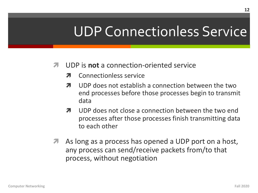# UDP Connectionless Service

#### $\pi$  UDP is **not** a connection-oriented service

- **7** Connectionless service
- $\lambda$  UDP does not establish a connection between the two end processes before those processes begin to transmit data
- $\lambda$  UDP does not close a connection between the two end processes after those processes finish transmitting data to each other
- As long as a process has opened a UDP port on a host, any process can send/receive packets from/to that process, without negotiation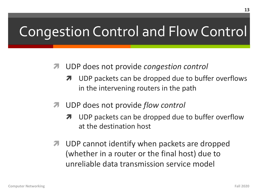# Congestion Control and Flow Control

- ì UDP does not provide *congestion control*
	- **7** UDP packets can be dropped due to buffer overflows in the intervening routers in the path
- ì UDP does not provide *flow control*
	- **7** UDP packets can be dropped due to buffer overflow at the destination host
- *A* UDP cannot identify when packets are dropped (whether in a router or the final host) due to unreliable data transmission service model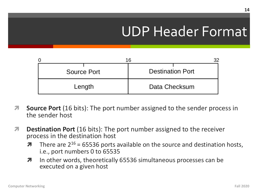# UDP Header Format

| Source Port | <b>Destination Port</b> |
|-------------|-------------------------|
| Length      | Data Checksum           |

- *A* Source Port (16 bits): The port number assigned to the sender process in the sender host
- *A* Destination Port (16 bits): The port number assigned to the receiver process in the destination host
	- $\lambda$  There are 2<sup>16</sup> = 65536 ports available on the source and destination hosts, i.e., port numbers 0 to 65535
	- **7** In other words, theoretically 65536 simultaneous processes can be executed on a given host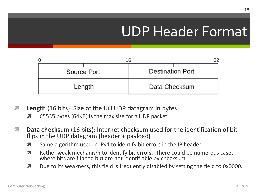# UDP Header Format

| Source Port | <b>Destination Port</b> |
|-------------|-------------------------|
| Length      | Data Checksum           |

- *A* Length (16 bits): Size of the full UDP datagram in bytes
	- **7** 65535 bytes (64KB) is the max size for a UDP packet
- *A* Data checksum (16 bits): Internet checksum used for the identification of bit flips in the UDP datagram (header + payload)
	- **7** Same algorithm used in IPv4 to identify bit errors in the IP header
	- $\lambda$  Rather weak mechanism to identify bit errors. There could be numerous cases where bits are flipped but are not identifiable by checksum
	- $\lambda$  Due to its weakness, this field is frequently disabled by setting the field to 0x0000.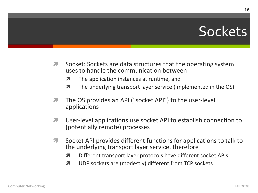## Sockets

- $\overline{\phantom{a}}$ Socket: Sockets are data structures that the operating system uses to handle the communication between
	- $\overline{\phantom{a}}$ The application instances at runtime, and
	- The underlying transport layer service (implemented in the OS)  $\overline{\boldsymbol{\pi}}$
- The OS provides an API ("socket API") to the user-level 7 applications
- User-level applications use socket API to establish connection to 7 (potentially remote) processes
- Socket API provides different functions for applications to talk to 7 the underlying transport layer service, therefore
	- 7 Different transport layer protocols have different socket APIs
	- UDP sockets are (modestly) different from TCP sockets Л.